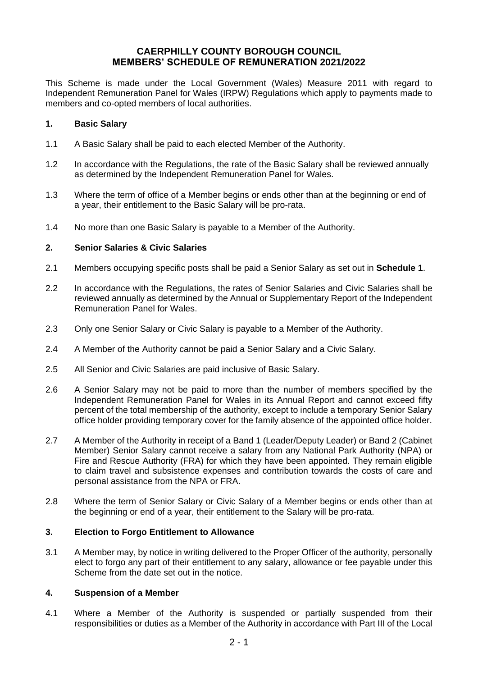# **CAERPHILLY COUNTY BOROUGH COUNCIL MEMBERS' SCHEDULE OF REMUNERATION 2021/2022**

This Scheme is made under the Local Government (Wales) Measure 2011 with regard to Independent Remuneration Panel for Wales (IRPW) Regulations which apply to payments made to members and co-opted members of local authorities.

# **1. Basic Salary**

- 1.1 A Basic Salary shall be paid to each elected Member of the Authority.
- 1.2 In accordance with the Regulations, the rate of the Basic Salary shall be reviewed annually as determined by the Independent Remuneration Panel for Wales.
- 1.3 Where the term of office of a Member begins or ends other than at the beginning or end of a year, their entitlement to the Basic Salary will be pro-rata.
- 1.4 No more than one Basic Salary is payable to a Member of the Authority.

# **2. Senior Salaries & Civic Salaries**

- 2.1 Members occupying specific posts shall be paid a Senior Salary as set out in **Schedule 1**.
- 2.2 In accordance with the Regulations, the rates of Senior Salaries and Civic Salaries shall be reviewed annually as determined by the Annual or Supplementary Report of the Independent Remuneration Panel for Wales.
- 2.3 Only one Senior Salary or Civic Salary is payable to a Member of the Authority.
- 2.4 A Member of the Authority cannot be paid a Senior Salary and a Civic Salary.
- 2.5 All Senior and Civic Salaries are paid inclusive of Basic Salary.
- 2.6 A Senior Salary may not be paid to more than the number of members specified by the Independent Remuneration Panel for Wales in its Annual Report and cannot exceed fifty percent of the total membership of the authority, except to include a temporary Senior Salary office holder providing temporary cover for the family absence of the appointed office holder.
- 2.7 A Member of the Authority in receipt of a Band 1 (Leader/Deputy Leader) or Band 2 (Cabinet Member) Senior Salary cannot receive a salary from any National Park Authority (NPA) or Fire and Rescue Authority (FRA) for which they have been appointed. They remain eligible to claim travel and subsistence expenses and contribution towards the costs of care and personal assistance from the NPA or FRA.
- 2.8 Where the term of Senior Salary or Civic Salary of a Member begins or ends other than at the beginning or end of a year, their entitlement to the Salary will be pro-rata.

# **3. Election to Forgo Entitlement to Allowance**

3.1 A Member may, by notice in writing delivered to the Proper Officer of the authority, personally elect to forgo any part of their entitlement to any salary, allowance or fee payable under this Scheme from the date set out in the notice.

# **4. Suspension of a Member**

4.1 Where a Member of the Authority is suspended or partially suspended from their responsibilities or duties as a Member of the Authority in accordance with Part III of the Local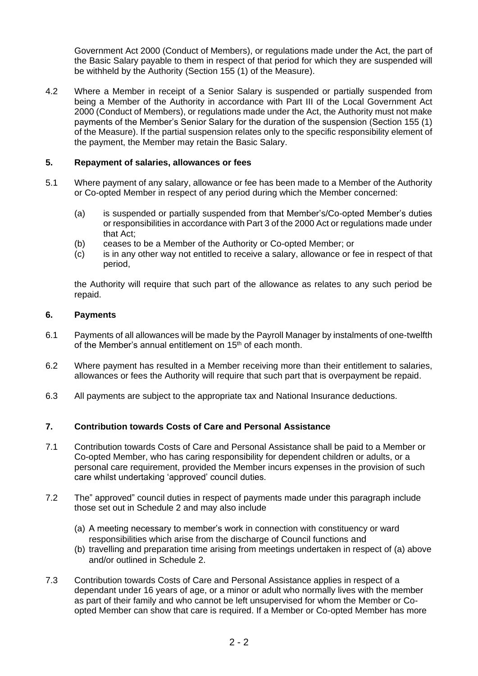Government Act 2000 (Conduct of Members), or regulations made under the Act, the part of the Basic Salary payable to them in respect of that period for which they are suspended will be withheld by the Authority (Section 155 (1) of the Measure).

4.2 Where a Member in receipt of a Senior Salary is suspended or partially suspended from being a Member of the Authority in accordance with Part III of the Local Government Act 2000 (Conduct of Members), or regulations made under the Act, the Authority must not make payments of the Member's Senior Salary for the duration of the suspension (Section 155 (1) of the Measure). If the partial suspension relates only to the specific responsibility element of the payment, the Member may retain the Basic Salary.

# **5. Repayment of salaries, allowances or fees**

- 5.1 Where payment of any salary, allowance or fee has been made to a Member of the Authority or Co-opted Member in respect of any period during which the Member concerned:
	- (a) is suspended or partially suspended from that Member's/Co-opted Member's duties or responsibilities in accordance with Part 3 of the 2000 Act or regulations made under that Act;
	- (b) ceases to be a Member of the Authority or Co-opted Member; or
	- (c) is in any other way not entitled to receive a salary, allowance or fee in respect of that period,

the Authority will require that such part of the allowance as relates to any such period be repaid.

# **6. Payments**

- 6.1 Payments of all allowances will be made by the Payroll Manager by instalments of one-twelfth of the Member's annual entitlement on 15<sup>th</sup> of each month.
- 6.2 Where payment has resulted in a Member receiving more than their entitlement to salaries, allowances or fees the Authority will require that such part that is overpayment be repaid.
- 6.3 All payments are subject to the appropriate tax and National Insurance deductions.

# **7. Contribution towards Costs of Care and Personal Assistance**

- 7.1 Contribution towards Costs of Care and Personal Assistance shall be paid to a Member or Co-opted Member, who has caring responsibility for dependent children or adults, or a personal care requirement, provided the Member incurs expenses in the provision of such care whilst undertaking 'approved' council duties.
- 7.2 The" approved" council duties in respect of payments made under this paragraph include those set out in Schedule 2 and may also include
	- (a) A meeting necessary to member's work in connection with constituency or ward responsibilities which arise from the discharge of Council functions and
	- (b) travelling and preparation time arising from meetings undertaken in respect of (a) above and/or outlined in Schedule 2.
- 7.3 Contribution towards Costs of Care and Personal Assistance applies in respect of a dependant under 16 years of age, or a minor or adult who normally lives with the member as part of their family and who cannot be left unsupervised for whom the Member or Coopted Member can show that care is required. If a Member or Co-opted Member has more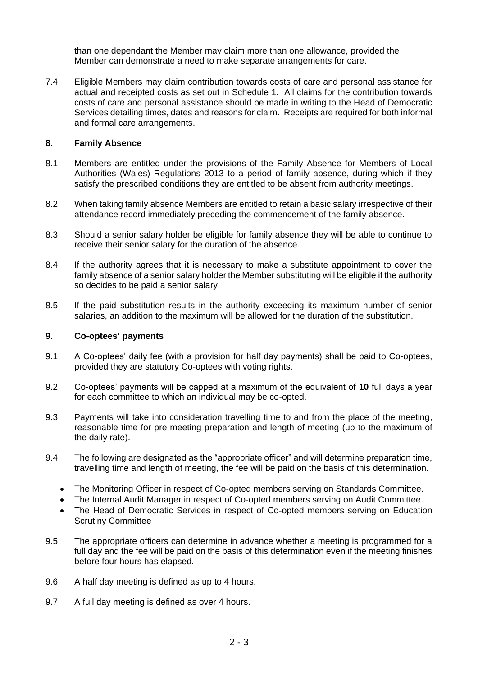than one dependant the Member may claim more than one allowance, provided the Member can demonstrate a need to make separate arrangements for care.

7.4 Eligible Members may claim contribution towards costs of care and personal assistance for actual and receipted costs as set out in Schedule 1. All claims for the contribution towards costs of care and personal assistance should be made in writing to the Head of Democratic Services detailing times, dates and reasons for claim. Receipts are required for both informal and formal care arrangements.

### **8. Family Absence**

- 8.1 Members are entitled under the provisions of the Family Absence for Members of Local Authorities (Wales) Regulations 2013 to a period of family absence, during which if they satisfy the prescribed conditions they are entitled to be absent from authority meetings.
- 8.2 When taking family absence Members are entitled to retain a basic salary irrespective of their attendance record immediately preceding the commencement of the family absence.
- 8.3 Should a senior salary holder be eligible for family absence they will be able to continue to receive their senior salary for the duration of the absence.
- 8.4 If the authority agrees that it is necessary to make a substitute appointment to cover the family absence of a senior salary holder the Member substituting will be eligible if the authority so decides to be paid a senior salary.
- 8.5 If the paid substitution results in the authority exceeding its maximum number of senior salaries, an addition to the maximum will be allowed for the duration of the substitution.

### **9. Co-optees' payments**

- 9.1 A Co-optees' daily fee (with a provision for half day payments) shall be paid to Co-optees, provided they are statutory Co-optees with voting rights.
- 9.2 Co-optees' payments will be capped at a maximum of the equivalent of **10** full days a year for each committee to which an individual may be co-opted.
- 9.3 Payments will take into consideration travelling time to and from the place of the meeting, reasonable time for pre meeting preparation and length of meeting (up to the maximum of the daily rate).
- 9.4 The following are designated as the "appropriate officer" and will determine preparation time, travelling time and length of meeting, the fee will be paid on the basis of this determination.
	- The Monitoring Officer in respect of Co-opted members serving on Standards Committee.
	- The Internal Audit Manager in respect of Co-opted members serving on Audit Committee.
	- The Head of Democratic Services in respect of Co-opted members serving on Education Scrutiny Committee
- 9.5 The appropriate officers can determine in advance whether a meeting is programmed for a full day and the fee will be paid on the basis of this determination even if the meeting finishes before four hours has elapsed.
- 9.6 A half day meeting is defined as up to 4 hours.
- 9.7 A full day meeting is defined as over 4 hours.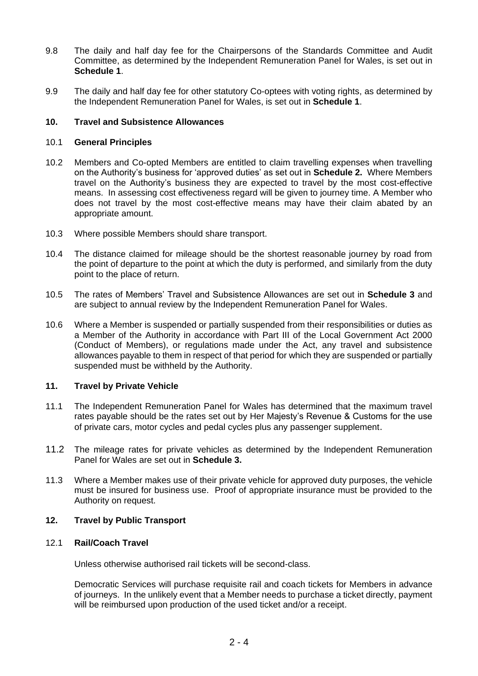- 9.8 The daily and half day fee for the Chairpersons of the Standards Committee and Audit Committee, as determined by the Independent Remuneration Panel for Wales, is set out in **Schedule 1**.
- 9.9 The daily and half day fee for other statutory Co-optees with voting rights, as determined by the Independent Remuneration Panel for Wales, is set out in **Schedule 1**.

# **10. Travel and Subsistence Allowances**

# 10.1 **General Principles**

- 10.2 Members and Co-opted Members are entitled to claim travelling expenses when travelling on the Authority's business for 'approved duties' as set out in **Schedule 2.** Where Members travel on the Authority's business they are expected to travel by the most cost-effective means. In assessing cost effectiveness regard will be given to journey time. A Member who does not travel by the most cost-effective means may have their claim abated by an appropriate amount.
- 10.3 Where possible Members should share transport.
- 10.4 The distance claimed for mileage should be the shortest reasonable journey by road from the point of departure to the point at which the duty is performed, and similarly from the duty point to the place of return.
- 10.5 The rates of Members' Travel and Subsistence Allowances are set out in **Schedule 3** and are subject to annual review by the Independent Remuneration Panel for Wales.
- 10.6 Where a Member is suspended or partially suspended from their responsibilities or duties as a Member of the Authority in accordance with Part III of the Local Government Act 2000 (Conduct of Members), or regulations made under the Act, any travel and subsistence allowances payable to them in respect of that period for which they are suspended or partially suspended must be withheld by the Authority.

# **11. Travel by Private Vehicle**

- 11.1 The Independent Remuneration Panel for Wales has determined that the maximum travel rates payable should be the rates set out by Her Majesty's Revenue & Customs for the use of private cars, motor cycles and pedal cycles plus any passenger supplement.
- 11.2 The mileage rates for private vehicles as determined by the Independent Remuneration Panel for Wales are set out in **Schedule 3.**
- 11.3 Where a Member makes use of their private vehicle for approved duty purposes, the vehicle must be insured for business use. Proof of appropriate insurance must be provided to the Authority on request.

# **12. Travel by Public Transport**

### 12.1 **Rail/Coach Travel**

Unless otherwise authorised rail tickets will be second-class.

Democratic Services will purchase requisite rail and coach tickets for Members in advance of journeys. In the unlikely event that a Member needs to purchase a ticket directly, payment will be reimbursed upon production of the used ticket and/or a receipt.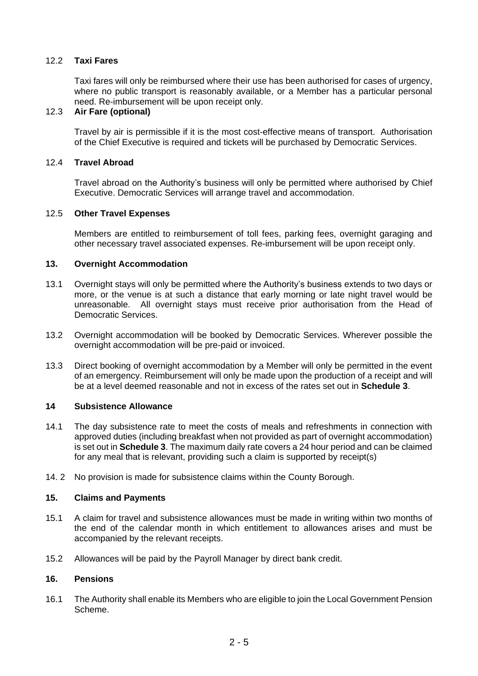# 12.2 **Taxi Fares**

Taxi fares will only be reimbursed where their use has been authorised for cases of urgency, where no public transport is reasonably available, or a Member has a particular personal need. Re-imbursement will be upon receipt only.

# 12.3 **Air Fare (optional)**

Travel by air is permissible if it is the most cost-effective means of transport. Authorisation of the Chief Executive is required and tickets will be purchased by Democratic Services.

### 12.4 **Travel Abroad**

Travel abroad on the Authority's business will only be permitted where authorised by Chief Executive. Democratic Services will arrange travel and accommodation.

### 12.5 **Other Travel Expenses**

Members are entitled to reimbursement of toll fees, parking fees, overnight garaging and other necessary travel associated expenses. Re-imbursement will be upon receipt only.

### **13. Overnight Accommodation**

- 13.1 Overnight stays will only be permitted where the Authority's business extends to two days or more, or the venue is at such a distance that early morning or late night travel would be unreasonable. All overnight stays must receive prior authorisation from the Head of Democratic Services.
- 13.2 Overnight accommodation will be booked by Democratic Services. Wherever possible the overnight accommodation will be pre-paid or invoiced.
- 13.3 Direct booking of overnight accommodation by a Member will only be permitted in the event of an emergency. Reimbursement will only be made upon the production of a receipt and will be at a level deemed reasonable and not in excess of the rates set out in **Schedule 3**.

#### **14 Subsistence Allowance**

- 14.1 The day subsistence rate to meet the costs of meals and refreshments in connection with approved duties (including breakfast when not provided as part of overnight accommodation) is set out in **Schedule 3**. The maximum daily rate covers a 24 hour period and can be claimed for any meal that is relevant, providing such a claim is supported by receipt(s)
- 14. 2 No provision is made for subsistence claims within the County Borough.

#### **15. Claims and Payments**

- 15.1 A claim for travel and subsistence allowances must be made in writing within two months of the end of the calendar month in which entitlement to allowances arises and must be accompanied by the relevant receipts.
- 15.2 Allowances will be paid by the Payroll Manager by direct bank credit.

### **16. Pensions**

16.1 The Authority shall enable its Members who are eligible to join the Local Government Pension Scheme.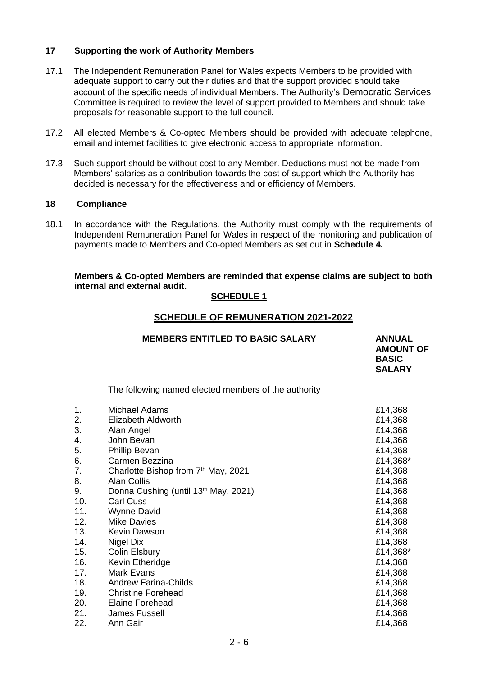# **17 Supporting the work of Authority Members**

- 17.1 The Independent Remuneration Panel for Wales expects Members to be provided with adequate support to carry out their duties and that the support provided should take account of the specific needs of individual Members. The Authority's Democratic Services Committee is required to review the level of support provided to Members and should take proposals for reasonable support to the full council.
- 17.2 All elected Members & Co-opted Members should be provided with adequate telephone, email and internet facilities to give electronic access to appropriate information.
- 17.3 Such support should be without cost to any Member. Deductions must not be made from Members' salaries as a contribution towards the cost of support which the Authority has decided is necessary for the effectiveness and or efficiency of Members.

### **18 Compliance**

18.1 In accordance with the Regulations, the Authority must comply with the requirements of Independent Remuneration Panel for Wales in respect of the monitoring and publication of payments made to Members and Co-opted Members as set out in **Schedule 4.**

### **Members & Co-opted Members are reminded that expense claims are subject to both internal and external audit.**

### **SCHEDULE 1**

# **SCHEDULE OF REMUNERATION 2021-2022**

|     | <b>MEMBERS ENTITLED TO BASIC SALARY</b>              | <b>ANNUAL</b><br><b>AMOUNT OF</b><br><b>BASIC</b><br><b>SALARY</b> |
|-----|------------------------------------------------------|--------------------------------------------------------------------|
|     | The following named elected members of the authority |                                                                    |
| 1.  | Michael Adams                                        | £14,368                                                            |
| 2.  | <b>Elizabeth Aldworth</b>                            | £14,368                                                            |
| 3.  | Alan Angel                                           | £14,368                                                            |
| 4.  | John Bevan                                           | £14,368                                                            |
| 5.  | <b>Phillip Bevan</b>                                 | £14,368                                                            |
| 6.  | Carmen Bezzina                                       | £14,368*                                                           |
| 7.  | Charlotte Bishop from 7th May, 2021                  | £14,368                                                            |
| 8.  | <b>Alan Collis</b>                                   | £14,368                                                            |
| 9.  | Donna Cushing (until 13th May, 2021)                 | £14,368                                                            |
| 10. | <b>Carl Cuss</b>                                     | £14,368                                                            |
| 11. | <b>Wynne David</b>                                   | £14,368                                                            |
| 12. | <b>Mike Davies</b>                                   | £14,368                                                            |
| 13. | <b>Kevin Dawson</b>                                  | £14,368                                                            |
| 14. | <b>Nigel Dix</b>                                     | £14,368                                                            |
| 15. | Colin Elsbury                                        | £14,368*                                                           |
| 16. | Kevin Etheridge                                      | £14,368                                                            |
| 17. | <b>Mark Evans</b>                                    | £14,368                                                            |
| 18. | <b>Andrew Farina-Childs</b>                          | £14,368                                                            |
| 19. | <b>Christine Forehead</b>                            | £14,368                                                            |
| 20. | <b>Elaine Forehead</b>                               | £14,368                                                            |
| 21. | <b>James Fussell</b>                                 | £14,368                                                            |
| 22. | Ann Gair                                             | £14,368                                                            |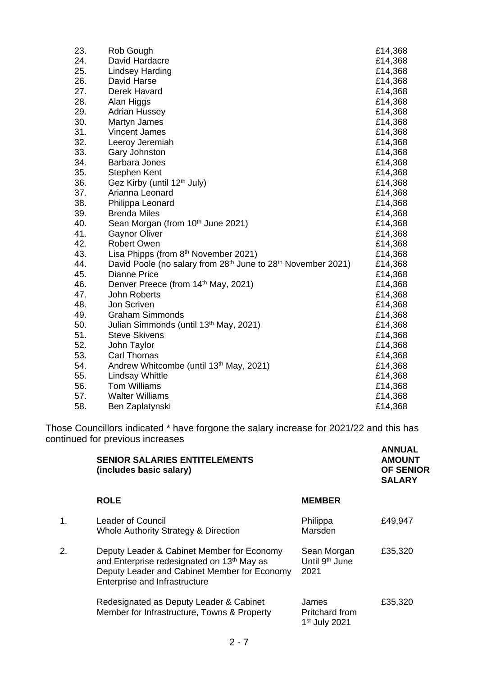| 23. | Rob Gough                                                    | £14,368 |
|-----|--------------------------------------------------------------|---------|
| 24. | David Hardacre                                               | £14,368 |
| 25. | Lindsey Harding                                              | £14,368 |
| 26. | David Harse                                                  | £14,368 |
| 27. | Derek Havard                                                 | £14,368 |
| 28. | Alan Higgs                                                   | £14,368 |
| 29. | <b>Adrian Hussey</b>                                         | £14,368 |
| 30. | Martyn James                                                 | £14,368 |
| 31. | <b>Vincent James</b>                                         | £14,368 |
| 32. | Leeroy Jeremiah                                              | £14,368 |
| 33. | Gary Johnston                                                | £14,368 |
| 34. | <b>Barbara Jones</b>                                         | £14,368 |
| 35. | Stephen Kent                                                 | £14,368 |
| 36. | Gez Kirby (until 12 <sup>th</sup> July)                      | £14,368 |
| 37. | Arianna Leonard                                              | £14,368 |
| 38. | Philippa Leonard                                             | £14,368 |
| 39. | <b>Brenda Miles</b>                                          | £14,368 |
| 40. | Sean Morgan (from 10th June 2021)                            | £14,368 |
| 41. | <b>Gaynor Oliver</b>                                         | £14,368 |
| 42. | <b>Robert Owen</b>                                           | £14,368 |
| 43. | Lisa Phipps (from $8th$ November 2021)                       | £14,368 |
| 44. | David Poole (no salary from 28th June to 28th November 2021) | £14,368 |
| 45. | <b>Dianne Price</b>                                          | £14,368 |
| 46. | Denver Preece (from 14th May, 2021)                          | £14,368 |
| 47. | John Roberts                                                 | £14,368 |
| 48. | Jon Scriven                                                  | £14,368 |
| 49. | <b>Graham Simmonds</b>                                       | £14,368 |
| 50. | Julian Simmonds (until 13 <sup>th</sup> May, 2021)           | £14,368 |
| 51. | <b>Steve Skivens</b>                                         | £14,368 |
| 52. | John Taylor                                                  | £14,368 |
| 53. | <b>Carl Thomas</b>                                           | £14,368 |
| 54. | Andrew Whitcombe (until 13th May, 2021)                      | £14,368 |
| 55. | <b>Lindsay Whittle</b>                                       | £14,368 |
| 56. | <b>Tom Williams</b>                                          | £14,368 |
| 57. | <b>Walter Williams</b>                                       | £14,368 |
| 58. | Ben Zaplatynski                                              | £14,368 |

Those Councillors indicated \* have forgone the salary increase for 2021/22 and this has continued for previous increases **ANNUAL**

|    | <b>SENIOR SALARIES ENTITELEMENTS</b><br>(includes basic salary)                                                                                                                       |                                                      | лшчиль<br><b>AMOUNT</b><br><b>OF SENIOR</b><br><b>SALARY</b> |  |
|----|---------------------------------------------------------------------------------------------------------------------------------------------------------------------------------------|------------------------------------------------------|--------------------------------------------------------------|--|
|    | <b>ROLE</b>                                                                                                                                                                           | <b>MEMBER</b>                                        |                                                              |  |
| 1. | <b>Leader of Council</b><br>Whole Authority Strategy & Direction                                                                                                                      | Philippa<br>Marsden                                  | £49,947                                                      |  |
| 2. | Deputy Leader & Cabinet Member for Economy<br>and Enterprise redesignated on 13 <sup>th</sup> May as<br>Deputy Leader and Cabinet Member for Economy<br>Enterprise and Infrastructure | Sean Morgan<br>Until 9 <sup>th</sup> June<br>2021    | £35,320                                                      |  |
|    | Redesignated as Deputy Leader & Cabinet<br>Member for Infrastructure, Towns & Property                                                                                                | James<br>Pritchard from<br>1 <sup>st</sup> July 2021 | £35,320                                                      |  |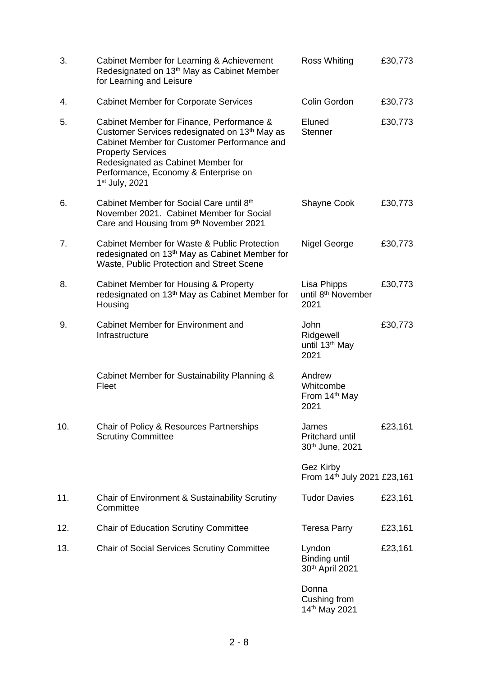| 3.  | Cabinet Member for Learning & Achievement<br>Redesignated on 13 <sup>th</sup> May as Cabinet Member<br>for Learning and Leisure                                                                                                                                                   | <b>Ross Whiting</b>                                     | £30,773 |
|-----|-----------------------------------------------------------------------------------------------------------------------------------------------------------------------------------------------------------------------------------------------------------------------------------|---------------------------------------------------------|---------|
| 4.  | <b>Cabinet Member for Corporate Services</b>                                                                                                                                                                                                                                      | Colin Gordon                                            | £30,773 |
| 5.  | Cabinet Member for Finance, Performance &<br>Customer Services redesignated on 13th May as<br>Cabinet Member for Customer Performance and<br><b>Property Services</b><br>Redesignated as Cabinet Member for<br>Performance, Economy & Enterprise on<br>1 <sup>st</sup> July, 2021 | Eluned<br><b>Stenner</b>                                | £30,773 |
| 6.  | Cabinet Member for Social Care until 8th<br>November 2021. Cabinet Member for Social<br>Care and Housing from 9th November 2021                                                                                                                                                   | <b>Shayne Cook</b>                                      | £30,773 |
| 7.  | Cabinet Member for Waste & Public Protection<br>redesignated on 13 <sup>th</sup> May as Cabinet Member for<br>Waste, Public Protection and Street Scene                                                                                                                           | Nigel George                                            | £30,773 |
| 8.  | Cabinet Member for Housing & Property<br>redesignated on 13 <sup>th</sup> May as Cabinet Member for<br>Housing                                                                                                                                                                    | Lisa Phipps<br>until 8 <sup>th</sup> November<br>2021   | £30,773 |
| 9.  | Cabinet Member for Environment and<br>Infrastructure                                                                                                                                                                                                                              | John<br>Ridgewell<br>until 13 <sup>th</sup> May<br>2021 | £30,773 |
|     | Cabinet Member for Sustainability Planning &<br>Fleet                                                                                                                                                                                                                             | Andrew<br>Whitcombe<br>From 14th May<br>2021            |         |
| 10. | Chair of Policy & Resources Partnerships<br><b>Scrutiny Committee</b>                                                                                                                                                                                                             | James<br><b>Pritchard until</b><br>30th June, 2021      | £23,161 |
|     |                                                                                                                                                                                                                                                                                   | Gez Kirby<br>From 14th July 2021 £23,161                |         |
| 11. | Chair of Environment & Sustainability Scrutiny<br>Committee                                                                                                                                                                                                                       | <b>Tudor Davies</b>                                     | £23,161 |
| 12. | <b>Chair of Education Scrutiny Committee</b>                                                                                                                                                                                                                                      | <b>Teresa Parry</b>                                     | £23,161 |
| 13. | <b>Chair of Social Services Scrutiny Committee</b>                                                                                                                                                                                                                                | Lyndon<br><b>Binding until</b><br>30th April 2021       | £23,161 |
|     |                                                                                                                                                                                                                                                                                   | Donna<br>Cushing from                                   |         |

14th May 2021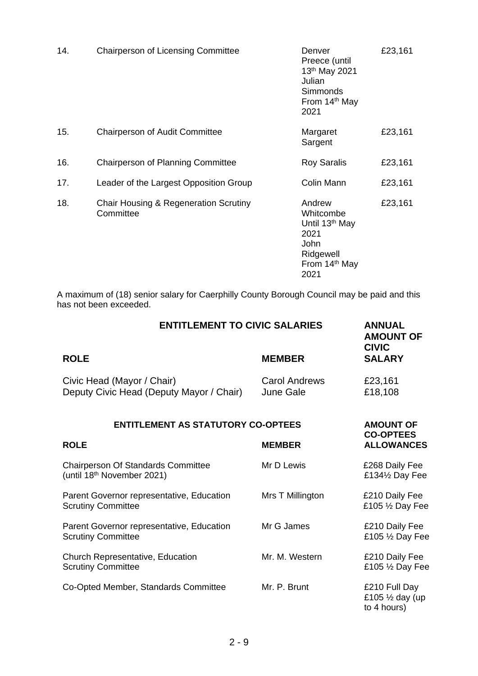| 14. | <b>Chairperson of Licensing Committee</b>                     | Denver<br>Preece (until<br>13th May 2021<br>Julian<br><b>Simmonds</b><br>From 14 <sup>th</sup> May<br>2021          | £23,161 |
|-----|---------------------------------------------------------------|---------------------------------------------------------------------------------------------------------------------|---------|
| 15. | <b>Chairperson of Audit Committee</b>                         | Margaret<br>Sargent                                                                                                 | £23,161 |
| 16. | <b>Chairperson of Planning Committee</b>                      | <b>Roy Saralis</b>                                                                                                  | £23,161 |
| 17. | Leader of the Largest Opposition Group                        | Colin Mann                                                                                                          | £23,161 |
| 18. | <b>Chair Housing &amp; Regeneration Scrutiny</b><br>Committee | Andrew<br>Whitcombe<br>Until 13 <sup>th</sup> May<br>2021<br>John<br>Ridgewell<br>From 14 <sup>th</sup> May<br>2021 | £23,161 |

A maximum of (18) senior salary for Caerphilly County Borough Council may be paid and this has not been exceeded.

| <b>ENTITLEMENT TO CIVIC SALARIES</b>                                                | <b>ANNUAL</b><br><b>AMOUNT OF</b><br><b>CIVIC</b> |                                                            |  |
|-------------------------------------------------------------------------------------|---------------------------------------------------|------------------------------------------------------------|--|
| <b>ROLE</b>                                                                         | <b>MEMBER</b>                                     | <b>SALARY</b>                                              |  |
| Civic Head (Mayor / Chair)<br>Deputy Civic Head (Deputy Mayor / Chair)              | Carol Andrews<br><b>June Gale</b>                 | £23,161<br>£18,108                                         |  |
| <b>ENTITLEMENT AS STATUTORY CO-OPTEES</b>                                           | <b>AMOUNT OF</b><br><b>CO-OPTEES</b>              |                                                            |  |
| <b>ROLE</b>                                                                         | <b>MEMBER</b>                                     | <b>ALLOWANCES</b>                                          |  |
| <b>Chairperson Of Standards Committee</b><br>(until 18 <sup>th</sup> November 2021) | Mr D Lewis                                        | £268 Daily Fee<br>£134½ Day Fee                            |  |
| Parent Governor representative, Education<br><b>Scrutiny Committee</b>              | Mrs T Millington                                  | £210 Daily Fee<br>£105 1/2 Day Fee                         |  |
| Parent Governor representative, Education<br><b>Scrutiny Committee</b>              | Mr G James                                        | £210 Daily Fee<br>£105 1/2 Day Fee                         |  |
| Church Representative, Education<br><b>Scrutiny Committee</b>                       | Mr. M. Western                                    | £210 Daily Fee<br>£105 1/2 Day Fee                         |  |
| Co-Opted Member, Standards Committee                                                | Mr. P. Brunt                                      | £210 Full Day<br>£105 $\frac{1}{2}$ day (up<br>to 4 hours) |  |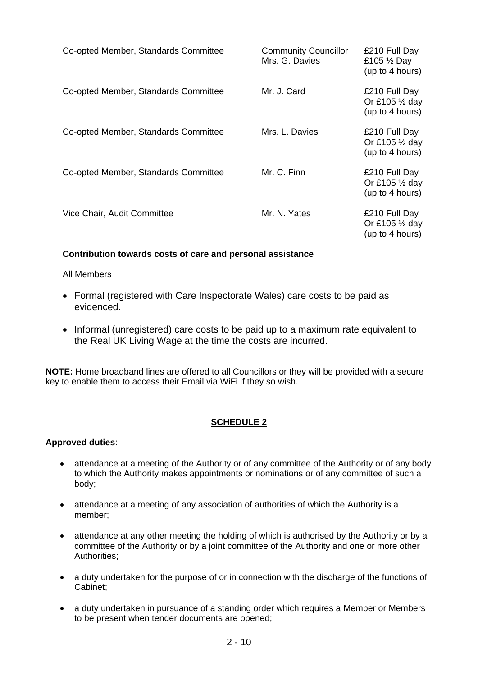| Co-opted Member, Standards Committee | <b>Community Councillor</b><br>Mrs. G. Davies | £210 Full Day<br>£105 $\frac{1}{2}$ Day<br>(up to 4 hours)    |
|--------------------------------------|-----------------------------------------------|---------------------------------------------------------------|
| Co-opted Member, Standards Committee | Mr. J. Card                                   | £210 Full Day<br>Or £105 $\frac{1}{2}$ day<br>(up to 4 hours) |
| Co-opted Member, Standards Committee | Mrs. L. Davies                                | £210 Full Day<br>Or £105 1/2 day<br>(up to 4 hours)           |
| Co-opted Member, Standards Committee | Mr. C. Finn                                   | £210 Full Day<br>Or £105 $\frac{1}{2}$ day<br>(up to 4 hours) |
| Vice Chair, Audit Committee          | Mr. N. Yates                                  | £210 Full Day<br>Or £105 1/2 day<br>(up to 4 hours)           |

# **Contribution towards costs of care and personal assistance**

# All Members

- Formal (registered with Care Inspectorate Wales) care costs to be paid as evidenced.
- Informal (unregistered) care costs to be paid up to a maximum rate equivalent to the Real UK Living Wage at the time the costs are incurred.

**NOTE:** Home broadband lines are offered to all Councillors or they will be provided with a secure key to enable them to access their Email via WiFi if they so wish.

# **SCHEDULE 2**

# **Approved duties**: -

- attendance at a meeting of the Authority or of any committee of the Authority or of any body to which the Authority makes appointments or nominations or of any committee of such a body;
- attendance at a meeting of any association of authorities of which the Authority is a member;
- attendance at any other meeting the holding of which is authorised by the Authority or by a committee of the Authority or by a joint committee of the Authority and one or more other Authorities;
- a duty undertaken for the purpose of or in connection with the discharge of the functions of Cabinet;
- a duty undertaken in pursuance of a standing order which requires a Member or Members to be present when tender documents are opened;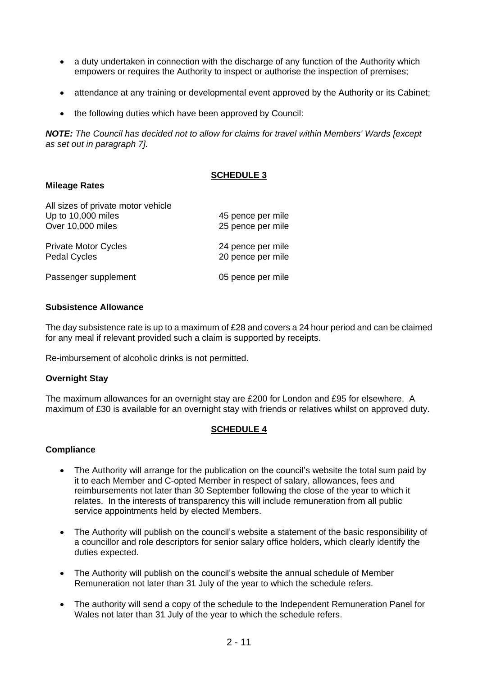- a duty undertaken in connection with the discharge of any function of the Authority which empowers or requires the Authority to inspect or authorise the inspection of premises;
- attendance at any training or developmental event approved by the Authority or its Cabinet;
- the following duties which have been approved by Council:

*NOTE: The Council has decided not to allow for claims for travel within Members' Wards [except as set out in paragraph 7].*

# **SCHEDULE 3**

### **Mileage Rates**

| All sizes of private motor vehicle |                   |
|------------------------------------|-------------------|
| Up to 10,000 miles                 | 45 pence per mile |
| Over 10,000 miles                  | 25 pence per mile |
| <b>Private Motor Cycles</b>        | 24 pence per mile |
| <b>Pedal Cycles</b>                | 20 pence per mile |
| Passenger supplement               | 05 pence per mile |

### **Subsistence Allowance**

The day subsistence rate is up to a maximum of £28 and covers a 24 hour period and can be claimed for any meal if relevant provided such a claim is supported by receipts.

Re-imbursement of alcoholic drinks is not permitted.

#### **Overnight Stay**

The maximum allowances for an overnight stay are £200 for London and £95 for elsewhere. A maximum of £30 is available for an overnight stay with friends or relatives whilst on approved duty.

# **SCHEDULE 4**

#### **Compliance**

- The Authority will arrange for the publication on the council's website the total sum paid by it to each Member and C-opted Member in respect of salary, allowances, fees and reimbursements not later than 30 September following the close of the year to which it relates. In the interests of transparency this will include remuneration from all public service appointments held by elected Members.
- The Authority will publish on the council's website a statement of the basic responsibility of a councillor and role descriptors for senior salary office holders, which clearly identify the duties expected.
- The Authority will publish on the council's website the annual schedule of Member Remuneration not later than 31 July of the year to which the schedule refers.
- The authority will send a copy of the schedule to the Independent Remuneration Panel for Wales not later than 31 July of the year to which the schedule refers.